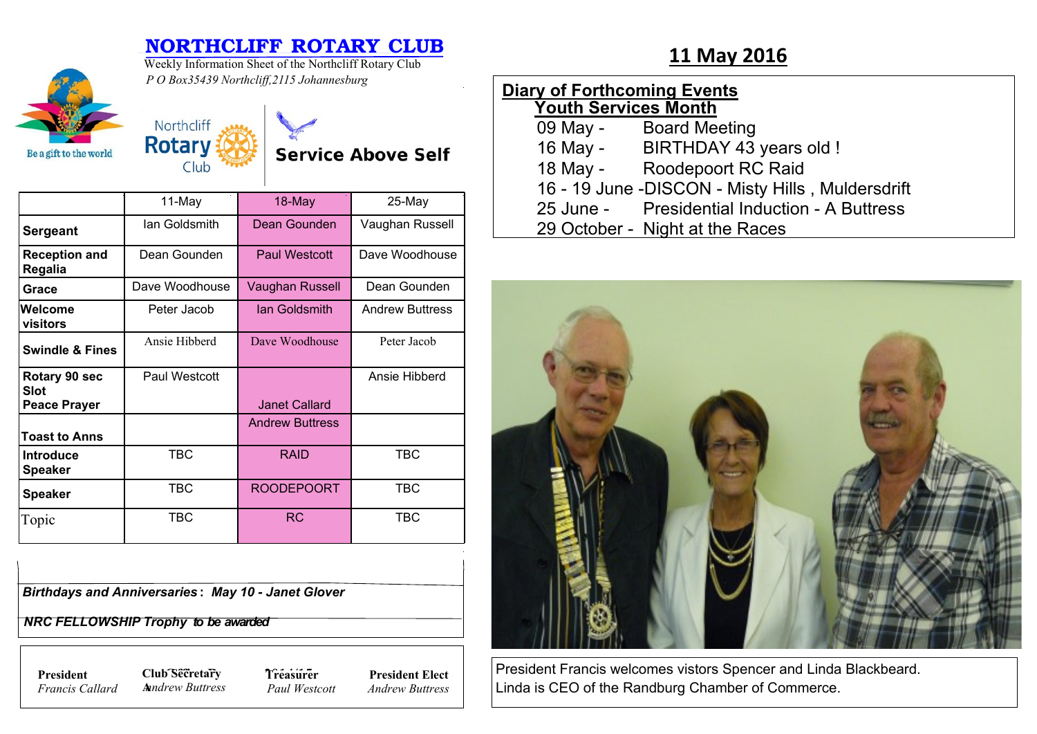# **NORTHCLIFF ROTARY CLUB**<br>Weekly Information Sheet of the Northcliff Rotary Club **11 May 2016**



Weekly Information Sheet of the Northcliff Rotary Club

### *P O Box35439 Northcliff,2115 Johannesburg*



## **Service Above Self**

|                                                     | 11-May         | 18-May                 | 25-May                 |
|-----------------------------------------------------|----------------|------------------------|------------------------|
| <b>Sergeant</b>                                     | lan Goldsmith  | Dean Gounden           | Vaughan Russell        |
| <b>Reception and</b><br>Regalia                     | Dean Gounden   | Paul Westcott          | Dave Woodhouse         |
| Grace                                               | Dave Woodhouse | Vaughan Russell        | Dean Gounden           |
| Welcome<br>visitors                                 | Peter Jacob    | lan Goldsmith          | <b>Andrew Buttress</b> |
| <b>Swindle &amp; Fines</b>                          | Ansie Hibberd  | Dave Woodhouse         | Peter Jacob            |
| Rotary 90 sec<br><b>Slot</b><br><b>Peace Prayer</b> | Paul Westcott  | <b>Janet Callard</b>   | Ansie Hibberd          |
| <b>Toast to Anns</b>                                |                | <b>Andrew Buttress</b> |                        |
| <b>Introduce</b><br><b>Speaker</b>                  | <b>TBC</b>     | <b>RAID</b>            | <b>TBC</b>             |
| <b>Speaker</b>                                      | TBC            | <b>ROODEPOORT</b>      | TBC                    |
| Topic                                               | TBC            | <b>RC</b>              | <b>TBC</b>             |

| <b>Birthdays and Anniversaries: May 10 - Janet Glover</b> |  |
|-----------------------------------------------------------|--|

 *NRC FELLOWSHIP Trophy to be awarded*

*Francis Callard*

**President Club Secretary 7** *Treasure* **A***nndrew Buttress*

**Treasurer** *Paul Westcott*

**President Elect** *Andrew Buttress*

| <b>Diary of Forthcoming Events</b> |                                                  |  |  |  |
|------------------------------------|--------------------------------------------------|--|--|--|
| <b>Youth Services Month</b>        |                                                  |  |  |  |
|                                    | 09 May - Board Meeting                           |  |  |  |
|                                    | 16 May - BIRTHDAY 43 years old !                 |  |  |  |
|                                    | 18 May - Roodepoort RC Raid                      |  |  |  |
|                                    | 16 - 19 June -DISCON - Misty Hills, Muldersdrift |  |  |  |
|                                    | 25 June - Presidential Induction - A Buttress    |  |  |  |
|                                    | 29 October - Night at the Races                  |  |  |  |
|                                    |                                                  |  |  |  |



President Francis welcomes vistors Spencer and Linda Blackbeard. Linda is CEO of the Randburg Chamber of Commerce.